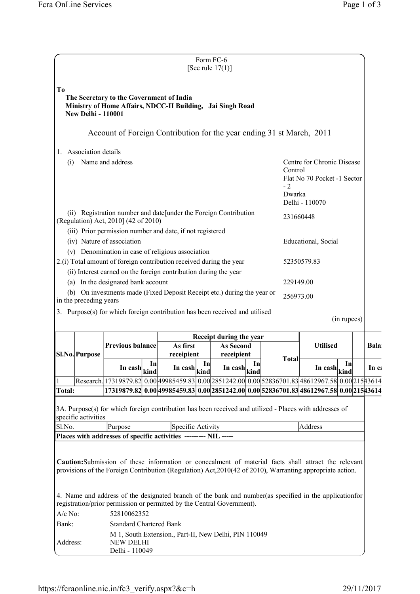|                         |                                                                                                  |                                                        |  |                                                                                                                                                                                                                   |     | Form FC-6<br>[See rule $17(1)$ ]                         |                                                                                                  |              |                                                        |             |  |       |
|-------------------------|--------------------------------------------------------------------------------------------------|--------------------------------------------------------|--|-------------------------------------------------------------------------------------------------------------------------------------------------------------------------------------------------------------------|-----|----------------------------------------------------------|--------------------------------------------------------------------------------------------------|--------------|--------------------------------------------------------|-------------|--|-------|
| To                      | <b>New Delhi - 110001</b>                                                                        | The Secretary to the Government of India               |  | Ministry of Home Affairs, NDCC-II Building, Jai Singh Road                                                                                                                                                        |     |                                                          |                                                                                                  |              |                                                        |             |  |       |
|                         |                                                                                                  |                                                        |  | Account of Foreign Contribution for the year ending 31 st March, 2011                                                                                                                                             |     |                                                          |                                                                                                  |              |                                                        |             |  |       |
| 1.                      | Association details                                                                              |                                                        |  |                                                                                                                                                                                                                   |     |                                                          |                                                                                                  |              |                                                        |             |  |       |
| Name and address<br>(i) |                                                                                                  |                                                        |  |                                                                                                                                                                                                                   |     | $-2$                                                     | Centre for Chronic Disease<br>Control<br>Flat No 70 Pocket -1 Sector<br>Dwarka<br>Delhi - 110070 |              |                                                        |             |  |       |
|                         |                                                                                                  |                                                        |  | (ii) Registration number and date [under the Foreign Contribution                                                                                                                                                 |     |                                                          |                                                                                                  |              | 231660448                                              |             |  |       |
|                         |                                                                                                  | (Regulation) Act, 2010] (42 of 2010)                   |  | (iii) Prior permission number and date, if not registered                                                                                                                                                         |     |                                                          |                                                                                                  |              |                                                        |             |  |       |
|                         |                                                                                                  | (iv) Nature of association                             |  |                                                                                                                                                                                                                   |     |                                                          |                                                                                                  |              | Educational, Social                                    |             |  |       |
|                         |                                                                                                  |                                                        |  | (v) Denomination in case of religious association<br>2.(i) Total amount of foreign contribution received during the year                                                                                          |     |                                                          |                                                                                                  |              | 52350579.83                                            |             |  |       |
|                         |                                                                                                  | (a) In the designated bank account                     |  | (ii) Interest earned on the foreign contribution during the year                                                                                                                                                  |     |                                                          |                                                                                                  | 229149.00    |                                                        |             |  |       |
|                         |                                                                                                  |                                                        |  | (b) On investments made (Fixed Deposit Receipt etc.) during the year or                                                                                                                                           |     |                                                          |                                                                                                  | 256973.00    |                                                        |             |  |       |
|                         | in the preceding years                                                                           |                                                        |  | 3. Purpose(s) for which foreign contribution has been received and utilised                                                                                                                                       |     |                                                          |                                                                                                  |              |                                                        |             |  |       |
|                         |                                                                                                  |                                                        |  |                                                                                                                                                                                                                   |     |                                                          |                                                                                                  |              |                                                        | (in rupees) |  |       |
|                         | Sl.No. Purpose                                                                                   |                                                        |  | Receipt during the year                                                                                                                                                                                           |     |                                                          |                                                                                                  |              |                                                        |             |  |       |
|                         |                                                                                                  | <b>Previous balance</b>                                |  | As first<br><b>As Second</b><br>receipient<br>receipient                                                                                                                                                          |     |                                                          | <b>Utilised</b>                                                                                  |              |                                                        | Bala        |  |       |
|                         |                                                                                                  | In cash $\left \frac{\text{kind}}{\text{kind}}\right $ |  | In $\cosh\left \frac{\sinh\theta}{\sinh\theta}\right $                                                                                                                                                            | Inl | In cash $\left \frac{\sinh \theta}{\sinh \theta}\right $ |                                                                                                  | <b>Total</b> | In cash $\left \frac{\text{kind}}{\text{kind}}\right $ | In          |  | In ca |
| <b>Total:</b>           |                                                                                                  |                                                        |  | Research. 17319879.82 0.00 49985459.83 0.00 2851242.00 0.00 52836701.83 48612967.58 0.00 215 43614<br>17319879.82 0.00 49985459.83 0.00 2851242.00 0.00 52836701.83 48612967.58 0.00 215 43614                    |     |                                                          |                                                                                                  |              |                                                        |             |  |       |
| Sl.No.                  | specific activities                                                                              | Purpose                                                |  | 3A. Purpose(s) for which foreign contribution has been received and utilized - Places with addresses of<br>Specific Activity                                                                                      |     |                                                          |                                                                                                  |              | Address                                                |             |  |       |
|                         |                                                                                                  |                                                        |  | Places with addresses of specific activities --------- NIL -----                                                                                                                                                  |     |                                                          |                                                                                                  |              |                                                        |             |  |       |
|                         |                                                                                                  |                                                        |  | Caution: Submission of these information or concealment of material facts shall attract the relevant<br>provisions of the Foreign Contribution (Regulation) Act, 2010(42 of 2010), Warranting appropriate action. |     |                                                          |                                                                                                  |              |                                                        |             |  |       |
| $A/c$ No:               |                                                                                                  | 52810062352                                            |  | 4. Name and address of the designated branch of the bank and number (as specified in the application for<br>registration/prior permission or permitted by the Central Government).                                |     |                                                          |                                                                                                  |              |                                                        |             |  |       |
| Bank:                   |                                                                                                  | <b>Standard Chartered Bank</b>                         |  |                                                                                                                                                                                                                   |     |                                                          |                                                                                                  |              |                                                        |             |  |       |
|                         | M 1, South Extension., Part-II, New Delhi, PIN 110049<br>Address:<br>NEW DELHI<br>Delhi - 110049 |                                                        |  |                                                                                                                                                                                                                   |     |                                                          |                                                                                                  |              |                                                        |             |  |       |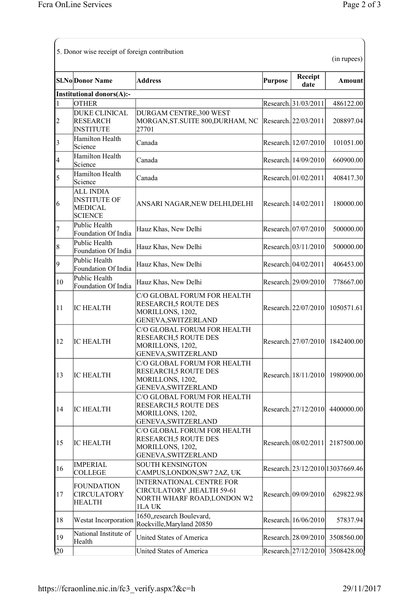|                | <b>Sl.No</b> Donor Name                                                     | <b>Address</b>                                                                                         | <b>Purpose</b> | Receipt                | (in rupees)<br><b>Amount</b>     |
|----------------|-----------------------------------------------------------------------------|--------------------------------------------------------------------------------------------------------|----------------|------------------------|----------------------------------|
|                | <b>Institutional donors(A):-</b>                                            |                                                                                                        |                | date                   |                                  |
| $\mathbf{1}$   | <b>OTHER</b>                                                                |                                                                                                        |                | Research. 31/03/2011   | 486122.00                        |
| $\overline{c}$ | <b>DUKE CLINICAL</b><br><b>RESEARCH</b><br><b>INSTITUTE</b>                 | DURGAM CENTRE,300 WEST<br>MORGAN, ST. SUITE 800, DURHAM, NC<br>27701                                   |                | Research. 22/03/2011   | 208897.04                        |
| 3              | Hamilton Health<br>Science                                                  | Canada                                                                                                 |                | Research. 12/07/2010   | 101051.00                        |
| $\vert 4$      | Hamilton Health<br>Science                                                  | Canada                                                                                                 |                | Research. 14/09/2010   | 660900.00                        |
| 5              | Hamilton Health<br>Science                                                  | Canada                                                                                                 |                | Research. 01/02/2011   | 408417.30                        |
| 6              | <b>ALL INDIA</b><br><b>INSTITUTE OF</b><br><b>MEDICAL</b><br><b>SCIENCE</b> | ANSARI NAGAR, NEW DELHI, DELHI                                                                         |                | Research. 14/02/2011   | 180000.00                        |
| $\overline{7}$ | Public Health<br>Foundation Of India                                        | Hauz Khas, New Delhi                                                                                   |                | Research. 07/07/2010   | 500000.00                        |
| 8              | Public Health<br>Foundation Of India                                        | Hauz Khas, New Delhi                                                                                   |                | Research. $03/11/2010$ | 500000.00                        |
| 9              | Public Health<br>Foundation Of India                                        | Hauz Khas, New Delhi                                                                                   |                | Research. 04/02/2011   | 406453.00                        |
| 10             | Public Health<br>Foundation Of India                                        | Hauz Khas, New Delhi                                                                                   |                | Research. 29/09/2010   | 778667.00                        |
| 11             | <b>IC HEALTH</b>                                                            | C/O GLOBAL FORUM FOR HEALTH<br>RESEARCH, 5 ROUTE DES<br>MORILLONS, 1202,<br>GENEVA, SWITZERLAND        |                | Research. 22/07/2010   | 1050571.61                       |
| 12             | <b>IC HEALTH</b>                                                            | C/O GLOBAL FORUM FOR HEALTH<br>RESEARCH, 5 ROUTE DES<br>MORILLONS, 1202,<br>GENEVA, SWITZERLAND        |                |                        | Research. 27/07/2010 1842400.00  |
| 13             | <b>IC HEALTH</b>                                                            | C/O GLOBAL FORUM FOR HEALTH<br>RESEARCH,5 ROUTE DES<br>MORILLONS, 1202,<br>GENEVA, SWITZERLAND         |                |                        | Research. 18/11/2010 1980900.00  |
| 14             | <b>IC HEALTH</b>                                                            | C/O GLOBAL FORUM FOR HEALTH<br>RESEARCH, 5 ROUTE DES<br>MORILLONS, 1202,<br>GENEVA, SWITZERLAND        |                | Research. $27/12/2010$ | 4400000.00                       |
| 15             | <b>IC HEALTH</b>                                                            | C/O GLOBAL FORUM FOR HEALTH<br>RESEARCH, 5 ROUTE DES<br>MORILLONS, 1202,<br>GENEVA, SWITZERLAND        |                | Research. 08/02/2011   | 2187500.00                       |
| 16             | <b>IMPERIAL</b><br><b>COLLEGE</b>                                           | <b>SOUTH KENSINGTON</b><br>CAMPUS, LONDON, SW7 2AZ, UK                                                 |                |                        | Research. 23/12/2010 13037669.46 |
| 17             | <b>FOUNDATION</b><br><b>CIRCULATORY</b><br><b>HEALTH</b>                    | <b>INTERNATIONAL CENTRE FOR</b><br>CIRCULATORY , HEALTH 59-61<br>NORTH WHARF ROAD, LONDON W2<br>1LA UK |                | Research. 09/09/2010   | 629822.98                        |
| 18             | Westat Incorporation                                                        | 1650, research Boulevard,<br>Rockville, Maryland 20850                                                 |                | Research. 16/06/2010   | 57837.94                         |
| 19             | National Institute of<br>Health                                             | United States of America                                                                               |                | Research. 28/09/2010   | 3508560.00                       |
| $\sqrt{20}$    |                                                                             | United States of America                                                                               |                | Research. 27/12/2010   | 3508428.00                       |